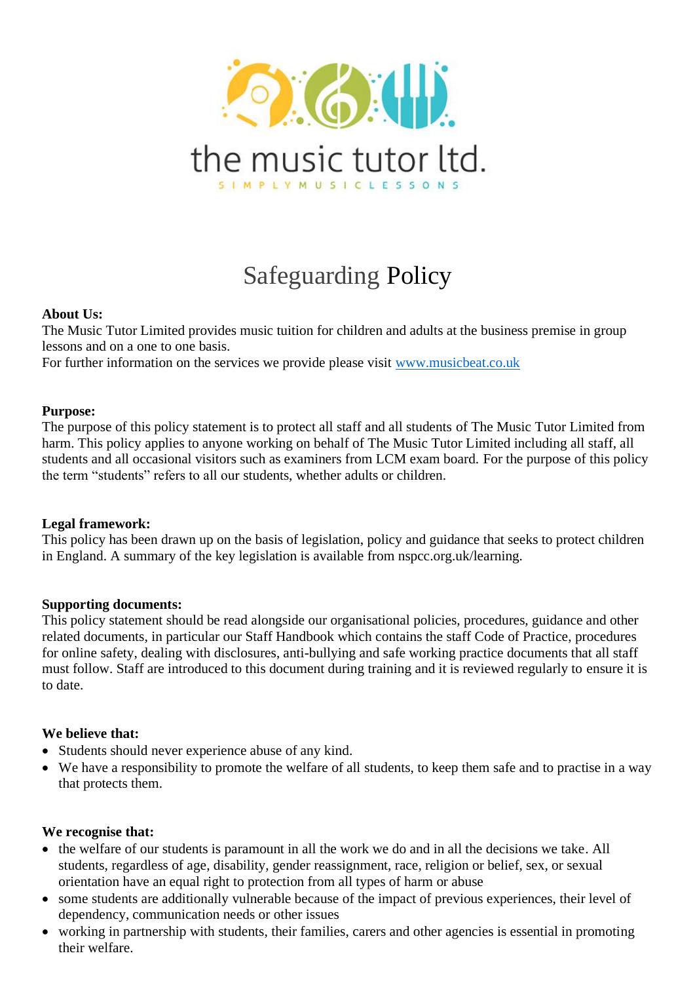

# Safeguarding Policy

## **About Us:**

The Music Tutor Limited provides music tuition for children and adults at the business premise in group lessons and on a one to one basis.

For further information on the services we provide please visit [www.musicbeat.co.uk](http://www.musicbeat.co.uk/)

#### **Purpose:**

The purpose of this policy statement is to protect all staff and all students of The Music Tutor Limited from harm. This policy applies to anyone working on behalf of The Music Tutor Limited including all staff, all students and all occasional visitors such as examiners from LCM exam board. For the purpose of this policy the term "students" refers to all our students, whether adults or children.

## **Legal framework:**

This policy has been drawn up on the basis of legislation, policy and guidance that seeks to protect children in England. A summary of the key legislation is available from nspcc.org.uk/learning.

## **Supporting documents:**

This policy statement should be read alongside our organisational policies, procedures, guidance and other related documents, in particular our Staff Handbook which contains the staff Code of Practice, procedures for online safety, dealing with disclosures, anti-bullying and safe working practice documents that all staff must follow. Staff are introduced to this document during training and it is reviewed regularly to ensure it is to date.

## **We believe that:**

- Students should never experience abuse of any kind.
- We have a responsibility to promote the welfare of all students, to keep them safe and to practise in a way that protects them.

#### **We recognise that:**

- the welfare of our students is paramount in all the work we do and in all the decisions we take. All students, regardless of age, disability, gender reassignment, race, religion or belief, sex, or sexual orientation have an equal right to protection from all types of harm or abuse
- some students are additionally vulnerable because of the impact of previous experiences, their level of dependency, communication needs or other issues
- working in partnership with students, their families, carers and other agencies is essential in promoting their welfare.